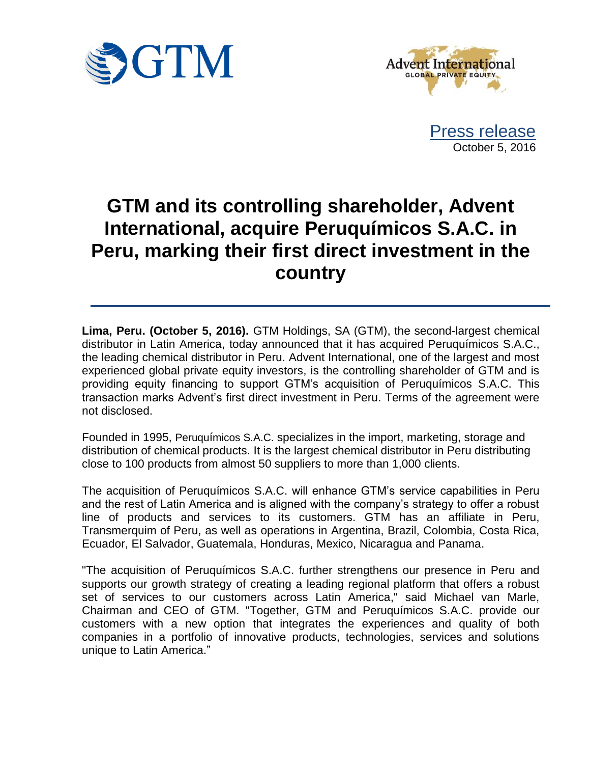



Press release October 5, 2016

# **GTM and its controlling shareholder, Advent International, acquire Peruquímicos S.A.C. in Peru, marking their first direct investment in the country**

**Lima, Peru. (October 5, 2016).** GTM Holdings, SA (GTM), the second-largest chemical distributor in Latin America, today announced that it has acquired Peruquímicos S.A.C., the leading chemical distributor in Peru. Advent International, one of the largest and most experienced global private equity investors, is the controlling shareholder of GTM and is providing equity financing to support GTM's acquisition of Peruquímicos S.A.C. This transaction marks Advent's first direct investment in Peru. Terms of the agreement were not disclosed.

Founded in 1995, Peruquímicos S.A.C. specializes in the import, marketing, storage and distribution of chemical products. It is the largest chemical distributor in Peru distributing close to 100 products from almost 50 suppliers to more than 1,000 clients.

The acquisition of Peruquímicos S.A.C. will enhance GTM's service capabilities in Peru and the rest of Latin America and is aligned with the company's strategy to offer a robust line of products and services to its customers. GTM has an affiliate in Peru, Transmerquim of Peru, as well as operations in Argentina, Brazil, Colombia, Costa Rica, Ecuador, El Salvador, Guatemala, Honduras, Mexico, Nicaragua and Panama.

"The acquisition of Peruquímicos S.A.C. further strengthens our presence in Peru and supports our growth strategy of creating a leading regional platform that offers a robust set of services to our customers across Latin America," said Michael van Marle, Chairman and CEO of GTM. "Together, GTM and Peruquímicos S.A.C. provide our customers with a new option that integrates the experiences and quality of both companies in a portfolio of innovative products, technologies, services and solutions unique to Latin America."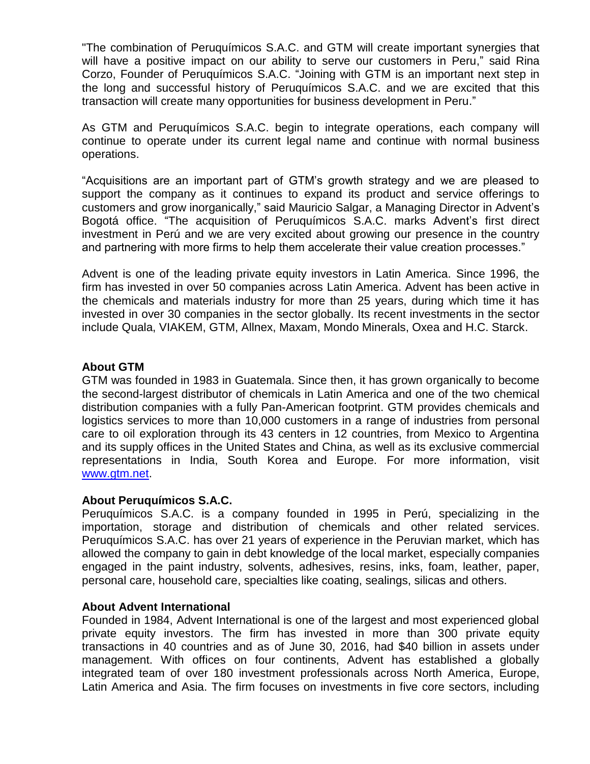"The combination of Peruquímicos S.A.C. and GTM will create important synergies that will have a positive impact on our ability to serve our customers in Peru," said Rina Corzo, Founder of Peruquímicos S.A.C. "Joining with GTM is an important next step in the long and successful history of Peruquímicos S.A.C. and we are excited that this transaction will create many opportunities for business development in Peru."

As GTM and Peruquímicos S.A.C. begin to integrate operations, each company will continue to operate under its current legal name and continue with normal business operations.

"Acquisitions are an important part of GTM's growth strategy and we are pleased to support the company as it continues to expand its product and service offerings to customers and grow inorganically," said Mauricio Salgar, a Managing Director in Advent's Bogotá office. "The acquisition of Peruquímicos S.A.C. marks Advent's first direct investment in Perú and we are very excited about growing our presence in the country and partnering with more firms to help them accelerate their value creation processes."

Advent is one of the leading private equity investors in Latin America. Since 1996, the firm has invested in over 50 companies across Latin America. Advent has been active in the chemicals and materials industry for more than 25 years, during which time it has invested in over 30 companies in the sector globally. Its recent investments in the sector include Quala, VIAKEM, GTM, Allnex, Maxam, Mondo Minerals, Oxea and H.C. Starck.

## **About GTM**

GTM was founded in 1983 in Guatemala. Since then, it has grown organically to become the second-largest distributor of chemicals in Latin America and one of the two chemical distribution companies with a fully Pan-American footprint. GTM provides chemicals and logistics services to more than 10,000 customers in a range of industries from personal care to oil exploration through its 43 centers in 12 countries, from Mexico to Argentina and its supply offices in the United States and China, as well as its exclusive commercial representations in India, South Korea and Europe. For more information, visit [www.gtm.net.](http://www.gtm.net/)

# **About Peruquímicos S.A.C.**

Peruquímicos S.A.C. is a company founded in 1995 in Perú, specializing in the importation, storage and distribution of chemicals and other related services. Peruquímicos S.A.C. has over 21 years of experience in the Peruvian market, which has allowed the company to gain in debt knowledge of the local market, especially companies engaged in the paint industry, solvents, adhesives, resins, inks, foam, leather, paper, personal care, household care, specialties like coating, sealings, silicas and others.

#### **About Advent International**

Founded in 1984, Advent International is one of the largest and most experienced global private equity investors. The firm has invested in more than 300 private equity transactions in 40 countries and as of June 30, 2016, had \$40 billion in assets under management. With offices on four continents, Advent has established a globally integrated team of over 180 investment professionals across North America, Europe, Latin America and Asia. The firm focuses on investments in five core sectors, including